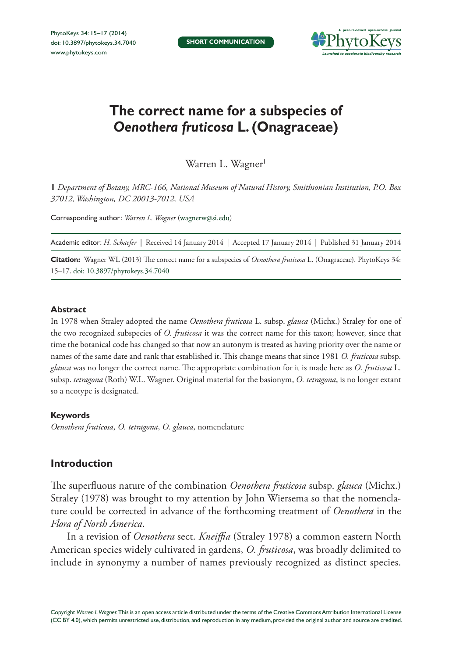

# **The correct name for a subspecies of**  *Oenothera fruticosa* **L. (Onagraceae)**

Warren L. Wagner

**1** *Department of Botany, MRC-166, National Museum of Natural History, Smithsonian Institution, P.O. Box 37012, Washington, DC 20013-7012, USA*

Corresponding author: *Warren L. Wagner* [\(wagnerw@si.edu\)](mailto:wagnerw@si.edu)

Academic editor: *H. Schaefer* | Received 14 January 2014 | Accepted 17 January 2014 | Published 31 January 2014

**Citation:** Wagner WL (2013) The correct name for a subspecies of *Oenothera fruticosa* L. (Onagraceae). PhytoKeys 34: 15–17. [doi: 10.3897/phytokeys.34.7040](http://dx.doi.org/10.3897/phytokeys.34.7040)

### **Abstract**

In 1978 when Straley adopted the name *Oenothera fruticosa* L. subsp. *glauca* (Michx.) Straley for one of the two recognized subspecies of *O. fruticosa* it was the correct name for this taxon; however, since that time the botanical code has changed so that now an autonym is treated as having priority over the name or names of the same date and rank that established it. This change means that since 1981 *O. fruticosa* subsp. *glauca* was no longer the correct name. The appropriate combination for it is made here as *O. fruticosa* L. subsp. *tetragona* (Roth) W.L. Wagner. Original material for the basionym, *O. tetragona*, is no longer extant so a neotype is designated.

#### **Keywords**

*Oenothera fruticosa*, *O. tetragona*, *O. glauca*, nomenclature

# **Introduction**

The superfluous nature of the combination *Oenothera fruticosa* subsp. *glauca* (Michx.) Straley (1978) was brought to my attention by John Wiersema so that the nomenclature could be corrected in advance of the forthcoming treatment of *Oenothera* in the *Flora of North America*.

In a revision of *Oenothera* sect. *Kneiffia* (Straley 1978) a common eastern North American species widely cultivated in gardens, *O. fruticosa*, was broadly delimited to include in synonymy a number of names previously recognized as distinct species.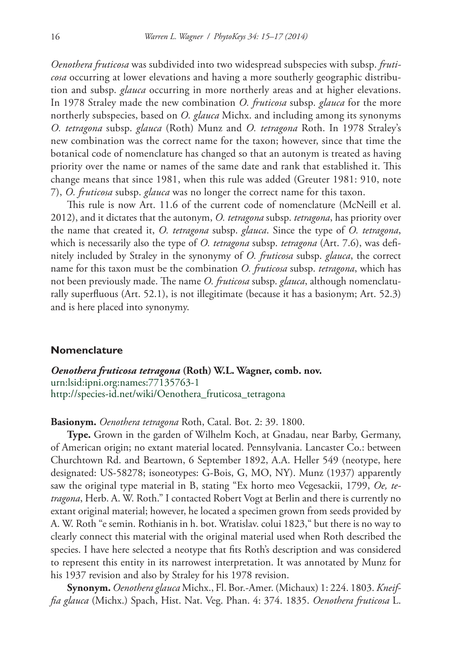*Oenothera fruticosa* was subdivided into two widespread subspecies with subsp. *fruticosa* occurring at lower elevations and having a more southerly geographic distribution and subsp. *glauca* occurring in more northerly areas and at higher elevations. In 1978 Straley made the new combination *O. fruticosa* subsp. *glauca* for the more northerly subspecies, based on *O. glauca* Michx. and including among its synonyms *O. tetragona* subsp. *glauca* (Roth) Munz and *O. tetragona* Roth. In 1978 Straley's new combination was the correct name for the taxon; however, since that time the botanical code of nomenclature has changed so that an autonym is treated as having priority over the name or names of the same date and rank that established it. This change means that since 1981, when this rule was added (Greuter 1981: 910, note 7), *O. fruticosa* subsp. *glauca* was no longer the correct name for this taxon.

This rule is now Art. 11.6 of the current code of nomenclature (McNeill et al. 2012), and it dictates that the autonym, *O. tetragona* subsp. *tetragona*, has priority over the name that created it, *O. tetragona* subsp. *glauca*. Since the type of *O. tetragona*, which is necessarily also the type of *O. tetragona* subsp. *tetragona* (Art. 7.6), was definitely included by Straley in the synonymy of *O. fruticosa* subsp. *glauca*, the correct name for this taxon must be the combination *O. fruticosa* subsp. *tetragona*, which has not been previously made. The name *O. fruticosa* subsp. *glauca*, although nomenclaturally superfluous (Art. 52.1), is not illegitimate (because it has a basionym; Art. 52.3) and is here placed into synonymy.

## **Nomenclature**

*Oenothera fruticosa tetragona* **(Roth) W.L. Wagner, comb. nov.** [urn:lsid:ipni.org:names:77135763-1](http://ipni.org/urn:lsid:ipni.org:names:77135763-1) [http://species-id.net/wiki/Oenothera\\_fruticosa\\_tetragona](http://species-id.net/wiki/Oenothera_fruticosa_tetragona)

**Basionym.** *Oenothera tetragona* Roth, Catal. Bot. 2: 39. 1800.

**Type.** Grown in the garden of Wilhelm Koch, at Gnadau, near Barby, Germany, of American origin; no extant material located. Pennsylvania. Lancaster Co.: between Churchtown Rd. and Beartown, 6 September 1892, A.A. Heller 549 (neotype, here designated: US-58278; isoneotypes: G-Bois, G, MO, NY). Munz (1937) apparently saw the original type material in B, stating "Ex horto meo Vegesackii, 1799, *Oe, tetragona*, Herb. A. W. Roth." I contacted Robert Vogt at Berlin and there is currently no extant original material; however, he located a specimen grown from seeds provided by A. W. Roth "e semin. Rothianis in h. bot. Wratislav. colui 1823," but there is no way to clearly connect this material with the original material used when Roth described the species. I have here selected a neotype that fits Roth's description and was considered to represent this entity in its narrowest interpretation. It was annotated by Munz for his 1937 revision and also by Straley for his 1978 revision.

**Synonym.** *Oenothera glauca* Michx., Fl. Bor.-Amer. (Michaux) 1: 224. 1803. *Kneiffia glauca* (Michx.) Spach, Hist. Nat. Veg. Phan. 4: 374. 1835. *Oenothera fruticosa* L.